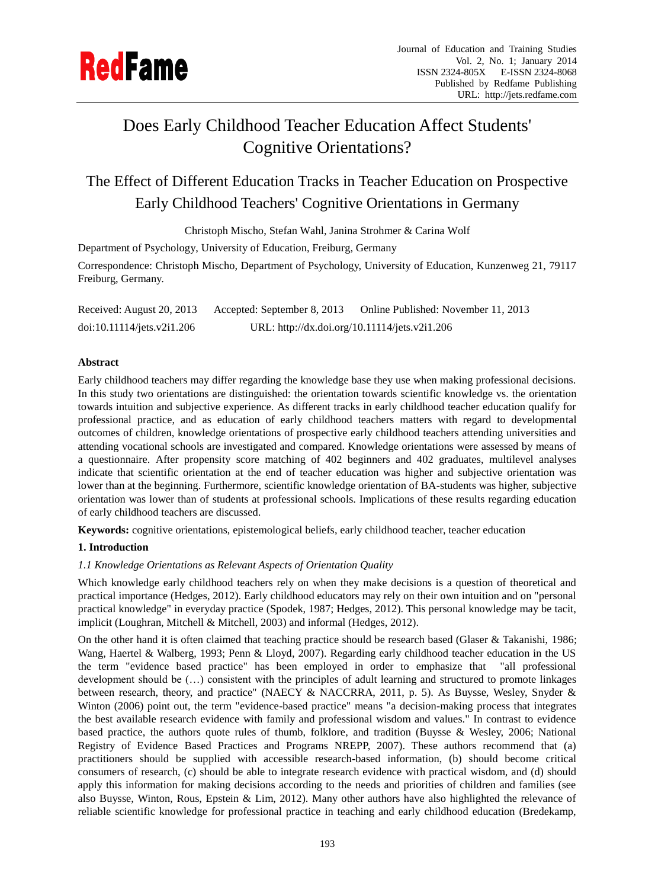

# Does Early Childhood Teacher Education Affect Students' Cognitive Orientations?

The Effect of Different Education Tracks in Teacher Education on Prospective Early Childhood Teachers' Cognitive Orientations in Germany

Christoph Mischo, Stefan Wahl, Janina Strohmer & Carina Wolf

Department of Psychology, University of Education, Freiburg, Germany

Correspondence: Christoph Mischo, Department of Psychology, University of Education, Kunzenweg 21, 79117 Freiburg, Germany.

Received: August 20, 2013 Accepted: September 8, 2013 Online Published: November 11, 2013 doi:10.11114/jets.v2i1.206 URL: http://dx.doi.org/10.11114/jets.v2i1.206

# **Abstract**

Early childhood teachers may differ regarding the knowledge base they use when making professional decisions. In this study two orientations are distinguished: the orientation towards scientific knowledge vs. the orientation towards intuition and subjective experience. As different tracks in early childhood teacher education qualify for professional practice, and as education of early childhood teachers matters with regard to developmental outcomes of children, knowledge orientations of prospective early childhood teachers attending universities and attending vocational schools are investigated and compared. Knowledge orientations were assessed by means of a questionnaire. After propensity score matching of 402 beginners and 402 graduates, multilevel analyses indicate that scientific orientation at the end of teacher education was higher and subjective orientation was lower than at the beginning. Furthermore, scientific knowledge orientation of BA-students was higher, subjective orientation was lower than of students at professional schools. Implications of these results regarding education of early childhood teachers are discussed.

**Keywords:** cognitive orientations, epistemological beliefs, early childhood teacher, teacher education

# **1. Introduction**

# *1.1 Knowledge Orientations as Relevant Aspects of Orientation Quality*

Which knowledge early childhood teachers rely on when they make decisions is a question of theoretical and practical importance (Hedges, 2012). Early childhood educators may rely on their own intuition and on "personal practical knowledge" in everyday practice (Spodek, 1987; Hedges, 2012). This personal knowledge may be tacit, implicit (Loughran, Mitchell & Mitchell, 2003) and informal (Hedges, 2012).

On the other hand it is often claimed that teaching practice should be research based (Glaser & Takanishi, 1986; Wang, Haertel & Walberg, 1993; Penn & Lloyd, 2007). Regarding early childhood teacher education in the US the term "evidence based practice" has been employed in order to emphasize that "all professional development should be (…) consistent with the principles of adult learning and structured to promote linkages between research, theory, and practice" (NAECY & NACCRRA, 2011, p. 5). As Buysse, Wesley, Snyder & Winton (2006) point out, the term "evidence-based practice" means "a decision-making process that integrates the best available research evidence with family and professional wisdom and values." In contrast to evidence based practice, the authors quote rules of thumb, folklore, and tradition (Buysse & Wesley, 2006; National Registry of Evidence Based Practices and Programs NREPP, 2007). These authors recommend that (a) practitioners should be supplied with accessible research-based information, (b) should become critical consumers of research, (c) should be able to integrate research evidence with practical wisdom, and (d) should apply this information for making decisions according to the needs and priorities of children and families (see also Buysse, Winton, Rous, Epstein & Lim, 2012). Many other authors have also highlighted the relevance of reliable scientific knowledge for professional practice in teaching and early childhood education (Bredekamp,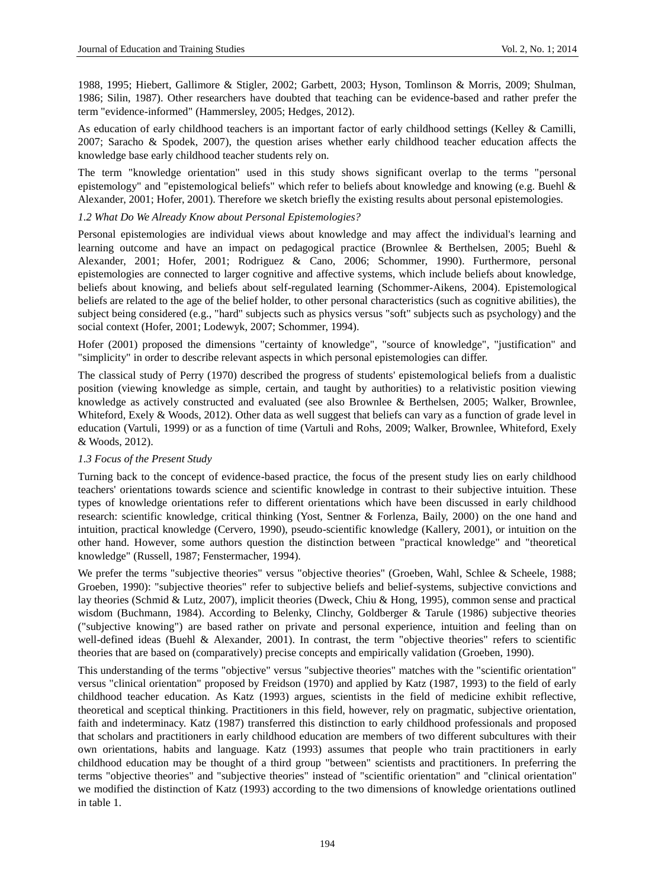1988, 1995; Hiebert, Gallimore & Stigler, 2002; Garbett, 2003; Hyson, Tomlinson & Morris, 2009; Shulman, 1986; Silin, 1987). Other researchers have doubted that teaching can be evidence-based and rather prefer the term "evidence-informed" (Hammersley, 2005; Hedges, 2012).

As education of early childhood teachers is an important factor of early childhood settings (Kelley & Camilli, 2007; Saracho & Spodek, 2007), the question arises whether early childhood teacher education affects the knowledge base early childhood teacher students rely on.

The term "knowledge orientation" used in this study shows significant overlap to the terms "personal epistemology" and "epistemological beliefs" which refer to beliefs about knowledge and knowing (e.g. Buehl & Alexander, 2001; Hofer, 2001). Therefore we sketch briefly the existing results about personal epistemologies.

## *1.2 What Do We Already Know about Personal Epistemologies?*

Personal epistemologies are individual views about knowledge and may affect the individual's learning and learning outcome and have an impact on pedagogical practice (Brownlee & Berthelsen, 2005; Buehl & Alexander, 2001; Hofer, 2001; Rodriguez & Cano, 2006; Schommer, 1990). Furthermore, personal epistemologies are connected to larger cognitive and affective systems, which include beliefs about knowledge, beliefs about knowing, and beliefs about self-regulated learning (Schommer-Aikens, 2004). Epistemological beliefs are related to the age of the belief holder, to other personal characteristics (such as cognitive abilities), the subject being considered (e.g., "hard" subjects such as physics versus "soft" subjects such as psychology) and the social context (Hofer, 2001; Lodewyk, 2007; Schommer, 1994).

Hofer (2001) proposed the dimensions "certainty of knowledge", "source of knowledge", "justification" and "simplicity" in order to describe relevant aspects in which personal epistemologies can differ.

The classical study of Perry (1970) described the progress of students' epistemological beliefs from a dualistic position (viewing knowledge as simple, certain, and taught by authorities) to a relativistic position viewing knowledge as actively constructed and evaluated (see also Brownlee & Berthelsen, 2005; Walker, Brownlee, Whiteford, Exely & Woods, 2012). Other data as well suggest that beliefs can vary as a function of grade level in education (Vartuli, 1999) or as a function of time (Vartuli and Rohs, 2009; Walker, Brownlee, Whiteford, Exely & Woods, 2012).

# *1.3 Focus of the Present Study*

Turning back to the concept of evidence-based practice, the focus of the present study lies on early childhood teachers' orientations towards science and scientific knowledge in contrast to their subjective intuition. These types of knowledge orientations refer to different orientations which have been discussed in early childhood research: scientific knowledge, critical thinking (Yost, Sentner & Forlenza, Baily, 2000) on the one hand and intuition, practical knowledge (Cervero, 1990), pseudo-scientific knowledge (Kallery, 2001), or intuition on the other hand. However, some authors question the distinction between "practical knowledge" and "theoretical knowledge" (Russell, 1987; Fenstermacher, 1994).

We prefer the terms "subjective theories" versus "objective theories" (Groeben, Wahl, Schlee & Scheele, 1988; Groeben, 1990): "subjective theories" refer to subjective beliefs and belief-systems, subjective convictions and lay theories (Schmid & Lutz, 2007), implicit theories (Dweck, Chiu & Hong, 1995), common sense and practical wisdom (Buchmann, 1984). According to Belenky, Clinchy, Goldberger & Tarule (1986) subjective theories ("subjective knowing") are based rather on private and personal experience, intuition and feeling than on well-defined ideas (Buehl & Alexander, 2001). In contrast, the term "objective theories" refers to scientific theories that are based on (comparatively) precise concepts and empirically validation (Groeben, 1990).

This understanding of the terms "objective" versus "subjective theories" matches with the "scientific orientation" versus "clinical orientation" proposed by Freidson (1970) and applied by Katz (1987, 1993) to the field of early childhood teacher education. As Katz (1993) argues, scientists in the field of medicine exhibit reflective, theoretical and sceptical thinking. Practitioners in this field, however, rely on pragmatic, subjective orientation, faith and indeterminacy. Katz (1987) transferred this distinction to early childhood professionals and proposed that scholars and practitioners in early childhood education are members of two different subcultures with their own orientations, habits and language. Katz (1993) assumes that people who train practitioners in early childhood education may be thought of a third group "between" scientists and practitioners. In preferring the terms "objective theories" and "subjective theories" instead of "scientific orientation" and "clinical orientation" we modified the distinction of Katz (1993) according to the two dimensions of knowledge orientations outlined in table 1.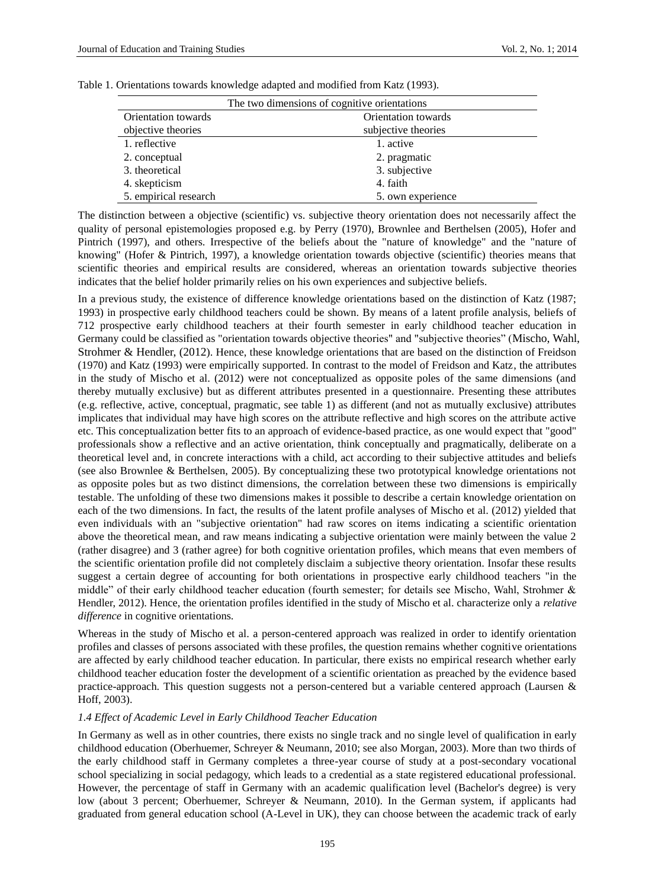| The two dimensions of cognitive orientations |                   |  |  |  |
|----------------------------------------------|-------------------|--|--|--|
| Orientation towards<br>Orientation towards   |                   |  |  |  |
| objective theories<br>subjective theories    |                   |  |  |  |
| 1. reflective                                | 1. active         |  |  |  |
| 2. conceptual                                | 2. pragmatic      |  |  |  |
| 3. theoretical                               | 3. subjective     |  |  |  |
| 4. skepticism                                | 4. faith          |  |  |  |
| 5. empirical research                        | 5. own experience |  |  |  |

Table 1. Orientations towards knowledge adapted and modified from Katz (1993).

The distinction between a objective (scientific) vs. subjective theory orientation does not necessarily affect the quality of personal epistemologies proposed e.g. by Perry (1970), Brownlee and Berthelsen (2005), Hofer and Pintrich (1997), and others. Irrespective of the beliefs about the "nature of knowledge" and the "nature of knowing" (Hofer & Pintrich, 1997), a knowledge orientation towards objective (scientific) theories means that scientific theories and empirical results are considered, whereas an orientation towards subjective theories indicates that the belief holder primarily relies on his own experiences and subjective beliefs.

In a previous study, the existence of difference knowledge orientations based on the distinction of Katz (1987; 1993) in prospective early childhood teachers could be shown. By means of a latent profile analysis, beliefs of 712 prospective early childhood teachers at their fourth semester in early childhood teacher education in Germany could be classified as "orientation towards objective theories" and "subjective theories" (Mischo, Wahl, Strohmer & Hendler, (2012). Hence, these knowledge orientations that are based on the distinction of Freidson (1970) and Katz (1993) were empirically supported. In contrast to the model of Freidson and Katz, the attributes in the study of Mischo et al. (2012) were not conceptualized as opposite poles of the same dimensions (and thereby mutually exclusive) but as different attributes presented in a questionnaire. Presenting these attributes (e.g. reflective, active, conceptual, pragmatic, see table 1) as different (and not as mutually exclusive) attributes implicates that individual may have high scores on the attribute reflective and high scores on the attribute active etc. This conceptualization better fits to an approach of evidence-based practice, as one would expect that "good" professionals show a reflective and an active orientation, think conceptually and pragmatically, deliberate on a theoretical level and, in concrete interactions with a child, act according to their subjective attitudes and beliefs (see also Brownlee & Berthelsen, 2005). By conceptualizing these two prototypical knowledge orientations not as opposite poles but as two distinct dimensions, the correlation between these two dimensions is empirically testable. The unfolding of these two dimensions makes it possible to describe a certain knowledge orientation on each of the two dimensions. In fact, the results of the latent profile analyses of Mischo et al. (2012) yielded that even individuals with an "subjective orientation" had raw scores on items indicating a scientific orientation above the theoretical mean, and raw means indicating a subjective orientation were mainly between the value 2 (rather disagree) and 3 (rather agree) for both cognitive orientation profiles, which means that even members of the scientific orientation profile did not completely disclaim a subjective theory orientation. Insofar these results suggest a certain degree of accounting for both orientations in prospective early childhood teachers "in the middle" of their early childhood teacher education (fourth semester; for details see Mischo, Wahl, Strohmer & Hendler, 2012). Hence, the orientation profiles identified in the study of Mischo et al. characterize only a *relative difference* in cognitive orientations.

Whereas in the study of Mischo et al. a person-centered approach was realized in order to identify orientation profiles and classes of persons associated with these profiles, the question remains whether cognitive orientations are affected by early childhood teacher education. In particular, there exists no empirical research whether early childhood teacher education foster the development of a scientific orientation as preached by the evidence based practice-approach. This question suggests not a person-centered but a variable centered approach (Laursen & Hoff, 2003).

#### *1.4 Effect of Academic Level in Early Childhood Teacher Education*

In Germany as well as in other countries, there exists no single track and no single level of qualification in early childhood education (Oberhuemer, Schreyer & Neumann, 2010; see also Morgan, 2003). More than two thirds of the early childhood staff in Germany completes a three-year course of study at a post-secondary vocational school specializing in social pedagogy, which leads to a credential as a state registered educational professional. However, the percentage of staff in Germany with an academic qualification level (Bachelor's degree) is very low (about 3 percent; Oberhuemer, Schreyer & Neumann, 2010). In the German system, if applicants had graduated from general education school (A-Level in UK), they can choose between the academic track of early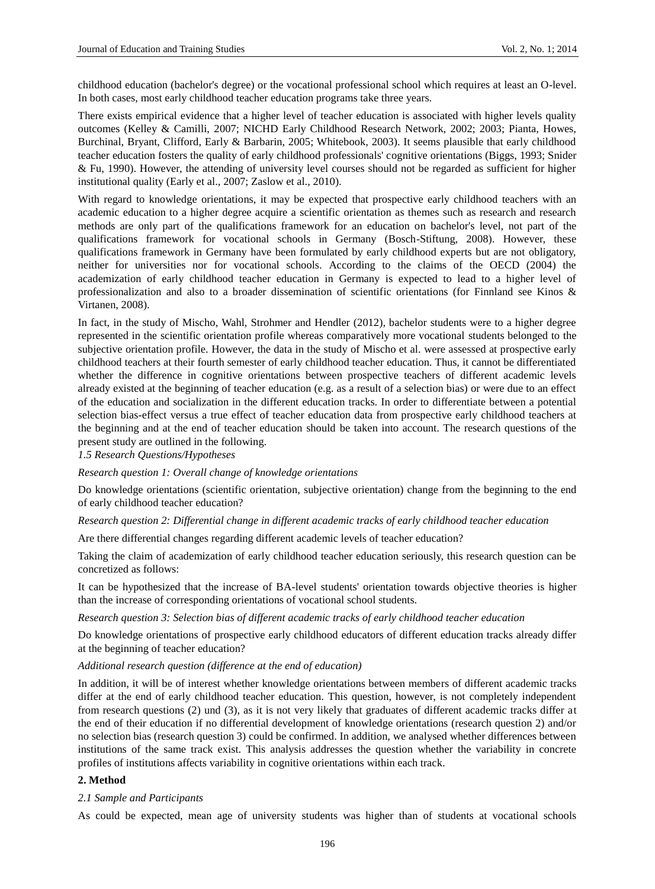childhood education (bachelor's degree) or the vocational professional school which requires at least an O-level. In both cases, most early childhood teacher education programs take three years.

There exists empirical evidence that a higher level of teacher education is associated with higher levels quality outcomes (Kelley & Camilli, 2007; NICHD Early Childhood Research Network, 2002; 2003; Pianta, Howes, Burchinal, Bryant, Clifford, Early & Barbarin, 2005; Whitebook, 2003). It seems plausible that early childhood teacher education fosters the quality of early childhood professionals' cognitive orientations (Biggs, 1993; Snider & Fu, 1990). However, the attending of university level courses should not be regarded as sufficient for higher institutional quality (Early et al., 2007; Zaslow et al., 2010).

With regard to knowledge orientations, it may be expected that prospective early childhood teachers with an academic education to a higher degree acquire a scientific orientation as themes such as research and research methods are only part of the qualifications framework for an education on bachelor's level, not part of the qualifications framework for vocational schools in Germany (Bosch-Stiftung, 2008). However, these qualifications framework in Germany have been formulated by early childhood experts but are not obligatory, neither for universities nor for vocational schools. According to the claims of the OECD (2004) the academization of early childhood teacher education in Germany is expected to lead to a higher level of professionalization and also to a broader dissemination of scientific orientations (for Finnland see Kinos & Virtanen, 2008).

In fact, in the study of Mischo, Wahl, Strohmer and Hendler (2012), bachelor students were to a higher degree represented in the scientific orientation profile whereas comparatively more vocational students belonged to the subjective orientation profile. However, the data in the study of Mischo et al. were assessed at prospective early childhood teachers at their fourth semester of early childhood teacher education. Thus, it cannot be differentiated whether the difference in cognitive orientations between prospective teachers of different academic levels already existed at the beginning of teacher education (e.g. as a result of a selection bias) or were due to an effect of the education and socialization in the different education tracks. In order to differentiate between a potential selection bias-effect versus a true effect of teacher education data from prospective early childhood teachers at the beginning and at the end of teacher education should be taken into account. The research questions of the present study are outlined in the following.

*1.5 Research Questions/Hypotheses* 

*Research question 1: Overall change of knowledge orientations*

Do knowledge orientations (scientific orientation, subjective orientation) change from the beginning to the end of early childhood teacher education?

*Research question 2: Differential change in different academic tracks of early childhood teacher education*

Are there differential changes regarding different academic levels of teacher education?

Taking the claim of academization of early childhood teacher education seriously, this research question can be concretized as follows:

It can be hypothesized that the increase of BA-level students' orientation towards objective theories is higher than the increase of corresponding orientations of vocational school students.

#### *Research question 3: Selection bias of different academic tracks of early childhood teacher education*

Do knowledge orientations of prospective early childhood educators of different education tracks already differ at the beginning of teacher education?

*Additional research question (difference at the end of education)*

In addition, it will be of interest whether knowledge orientations between members of different academic tracks differ at the end of early childhood teacher education. This question, however, is not completely independent from research questions (2) und (3), as it is not very likely that graduates of different academic tracks differ at the end of their education if no differential development of knowledge orientations (research question 2) and/or no selection bias (research question 3) could be confirmed. In addition, we analysed whether differences between institutions of the same track exist. This analysis addresses the question whether the variability in concrete profiles of institutions affects variability in cognitive orientations within each track.

## **2. Method**

#### *2.1 Sample and Participants*

As could be expected, mean age of university students was higher than of students at vocational schools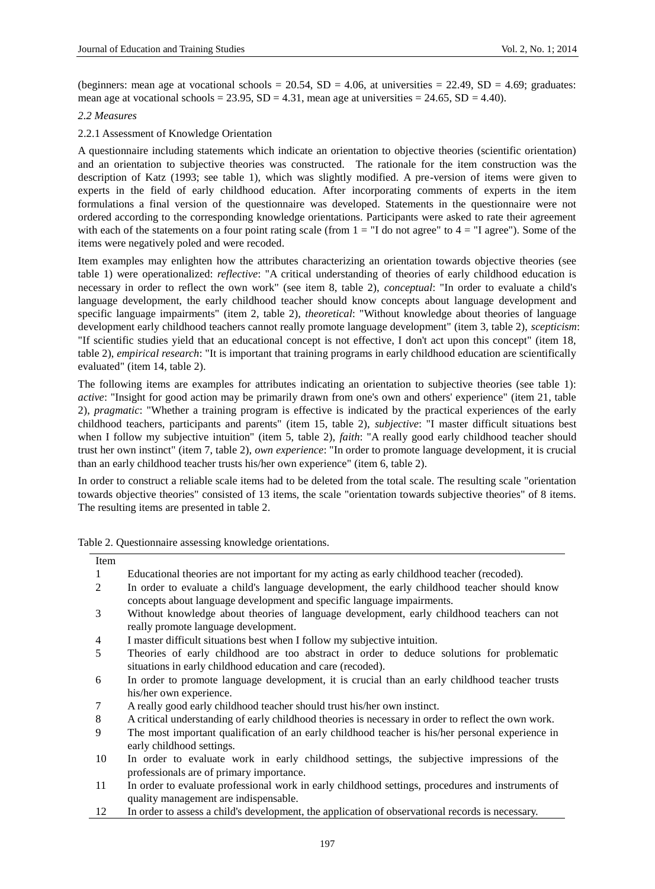(beginners: mean age at vocational schools =  $20.54$ , SD =  $4.06$ , at universities =  $22.49$ , SD =  $4.69$ ; graduates: mean age at vocational schools =  $23.95$ , SD =  $4.31$ , mean age at universities =  $24.65$ , SD =  $4.40$ ).

#### *2.2 Measures*

## 2.2.1 Assessment of Knowledge Orientation

A questionnaire including statements which indicate an orientation to objective theories (scientific orientation) and an orientation to subjective theories was constructed. The rationale for the item construction was the description of Katz (1993; see table 1), which was slightly modified. A pre-version of items were given to experts in the field of early childhood education. After incorporating comments of experts in the item formulations a final version of the questionnaire was developed. Statements in the questionnaire were not ordered according to the corresponding knowledge orientations. Participants were asked to rate their agreement with each of the statements on a four point rating scale (from  $1 =$  "I do not agree" to  $4 =$  "I agree"). Some of the items were negatively poled and were recoded.

Item examples may enlighten how the attributes characterizing an orientation towards objective theories (see table 1) were operationalized: *reflective*: "A critical understanding of theories of early childhood education is necessary in order to reflect the own work" (see item 8, table 2), *conceptual*: "In order to evaluate a child's language development, the early childhood teacher should know concepts about language development and specific language impairments" (item 2, table 2), *theoretical*: "Without knowledge about theories of language development early childhood teachers cannot really promote language development" (item 3, table 2), *scepticism*: "If scientific studies yield that an educational concept is not effective, I don't act upon this concept" (item 18, table 2), *empirical research*: "It is important that training programs in early childhood education are scientifically evaluated" (item 14, table 2).

The following items are examples for attributes indicating an orientation to subjective theories (see table 1): *active*: "Insight for good action may be primarily drawn from one's own and others' experience" (item 21, table 2), *pragmatic*: "Whether a training program is effective is indicated by the practical experiences of the early childhood teachers, participants and parents" (item 15, table 2), *subjective*: "I master difficult situations best when I follow my subjective intuition" (item 5, table 2), *faith*: "A really good early childhood teacher should trust her own instinct" (item 7, table 2), *own experience*: "In order to promote language development, it is crucial than an early childhood teacher trusts his/her own experience" (item 6, table 2).

In order to construct a reliable scale items had to be deleted from the total scale. The resulting scale "orientation towards objective theories" consisted of 13 items, the scale "orientation towards subjective theories" of 8 items. The resulting items are presented in table 2.

| Table 2. Questionnaire assessing knowledge orientations. |  |  |
|----------------------------------------------------------|--|--|
|                                                          |  |  |

| Item |                                                                                                     |
|------|-----------------------------------------------------------------------------------------------------|
| 1    | Educational theories are not important for my acting as early childhood teacher (recoded).          |
| 2    | In order to evaluate a child's language development, the early childhood teacher should know        |
|      | concepts about language development and specific language impairments.                              |
| 3    | Without knowledge about theories of language development, early childhood teachers can not          |
|      | really promote language development.                                                                |
| 4    | I master difficult situations best when I follow my subjective intuition.                           |
| 5    | Theories of early childhood are too abstract in order to deduce solutions for problematic           |
|      | situations in early childhood education and care (recoded).                                         |
| 6    | In order to promote language development, it is crucial than an early childhood teacher trusts      |
|      | his/her own experience.                                                                             |
| 7    | A really good early childhood teacher should trust his/her own instinct.                            |
| 8    | A critical understanding of early childhood theories is necessary in order to reflect the own work. |
| 9    | The most important qualification of an early childhood teacher is his/her personal experience in    |
|      | early childhood settings.                                                                           |
| 10   | In order to evaluate work in early childhood settings, the subjective impressions of the            |
|      | professionals are of primary importance.                                                            |
| 11   | In order to evaluate professional work in early childhood settings, procedures and instruments of   |
|      | quality management are indispensable.                                                               |
| 12   | In order to assess a child's development, the application of observational records is necessary.    |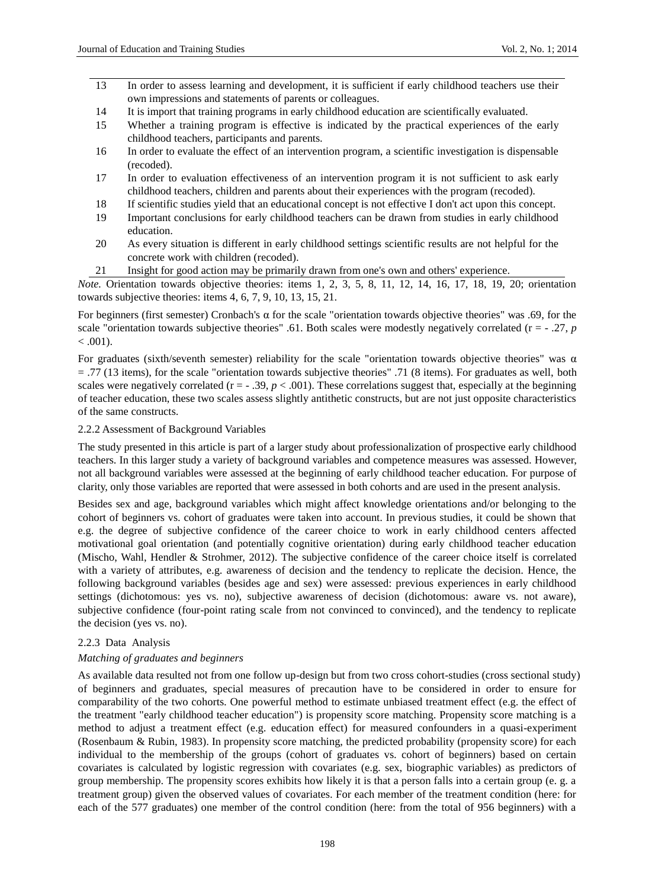- 13 In order to assess learning and development, it is sufficient if early childhood teachers use their own impressions and statements of parents or colleagues.
- 14 It is import that training programs in early childhood education are scientifically evaluated.
- 15 Whether a training program is effective is indicated by the practical experiences of the early childhood teachers, participants and parents.
- 16 In order to evaluate the effect of an intervention program, a scientific investigation is dispensable (recoded).
- 17 In order to evaluation effectiveness of an intervention program it is not sufficient to ask early childhood teachers, children and parents about their experiences with the program (recoded).
- 18 If scientific studies yield that an educational concept is not effective I don't act upon this concept.
- 19 Important conclusions for early childhood teachers can be drawn from studies in early childhood education.
- 20 As every situation is different in early childhood settings scientific results are not helpful for the concrete work with children (recoded).
- 21 Insight for good action may be primarily drawn from one's own and others' experience.

*Note.* Orientation towards objective theories: items 1, 2, 3, 5, 8, 11, 12, 14, 16, 17, 18, 19, 20; orientation towards subjective theories: items 4, 6, 7, 9, 10, 13, 15, 21.

For beginners (first semester) Cronbach's α for the scale "orientation towards objective theories" was .69, for the scale "orientation towards subjective theories" .61. Both scales were modestly negatively correlated ( $r = -0.27$ , *p*  $< .001$ ).

For graduates (sixth/seventh semester) reliability for the scale "orientation towards objective theories" was  $\alpha$ = .77 (13 items), for the scale "orientation towards subjective theories" .71 (8 items). For graduates as well, both scales were negatively correlated ( $r = -0.39$ ,  $p < 0.001$ ). These correlations suggest that, especially at the beginning of teacher education, these two scales assess slightly antithetic constructs, but are not just opposite characteristics of the same constructs.

## 2.2.2 Assessment of Background Variables

The study presented in this article is part of a larger study about professionalization of prospective early childhood teachers. In this larger study a variety of background variables and competence measures was assessed. However, not all background variables were assessed at the beginning of early childhood teacher education. For purpose of clarity, only those variables are reported that were assessed in both cohorts and are used in the present analysis.

Besides sex and age, background variables which might affect knowledge orientations and/or belonging to the cohort of beginners vs. cohort of graduates were taken into account. In previous studies, it could be shown that e.g. the degree of subjective confidence of the career choice to work in early childhood centers affected motivational goal orientation (and potentially cognitive orientation) during early childhood teacher education (Mischo, Wahl, Hendler & Strohmer, 2012). The subjective confidence of the career choice itself is correlated with a variety of attributes, e.g. awareness of decision and the tendency to replicate the decision. Hence, the following background variables (besides age and sex) were assessed: previous experiences in early childhood settings (dichotomous: yes vs. no), subjective awareness of decision (dichotomous: aware vs. not aware), subjective confidence (four-point rating scale from not convinced to convinced), and the tendency to replicate the decision (yes vs. no).

#### 2.2.3 Data Analysis

#### *Matching of graduates and beginners*

As available data resulted not from one follow up-design but from two cross cohort-studies (cross sectional study) of beginners and graduates, special measures of precaution have to be considered in order to ensure for comparability of the two cohorts. One powerful method to estimate unbiased treatment effect (e.g. the effect of the treatment "early childhood teacher education") is propensity score matching. Propensity score matching is a method to adjust a treatment effect (e.g. education effect) for measured confounders in a quasi-experiment (Rosenbaum & Rubin, 1983). In propensity score matching, the predicted probability (propensity score) for each individual to the membership of the groups (cohort of graduates vs. cohort of beginners) based on certain covariates is calculated by logistic regression with covariates (e.g. sex, biographic variables) as predictors of group membership. The propensity scores exhibits how likely it is that a person falls into a certain group (e. g. a treatment group) given the observed values of covariates. For each member of the treatment condition (here: for each of the 577 graduates) one member of the control condition (here: from the total of 956 beginners) with a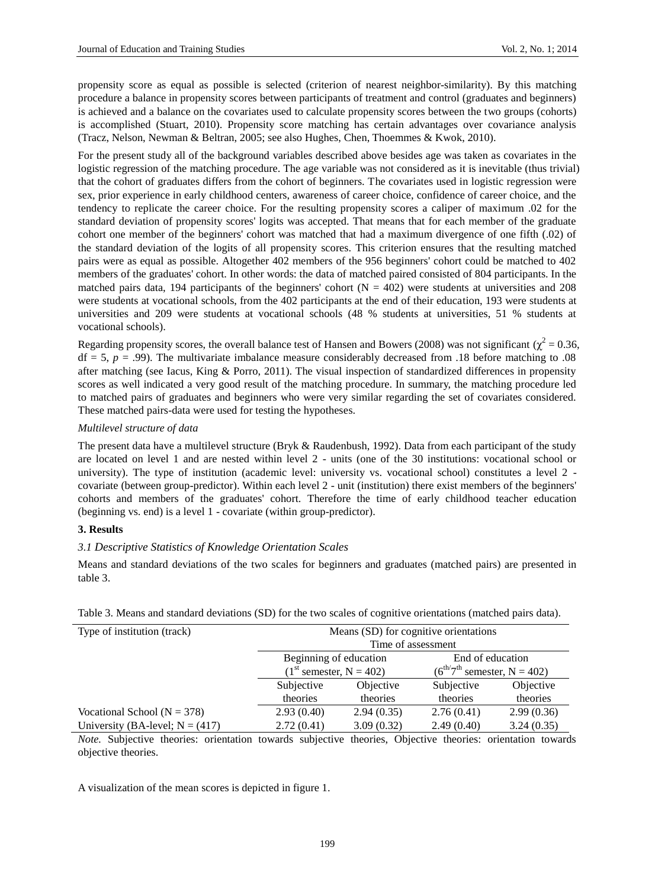propensity score as equal as possible is selected (criterion of nearest neighbor-similarity). By this matching procedure a balance in propensity scores between participants of treatment and control (graduates and beginners) is achieved and a balance on the covariates used to calculate propensity scores between the two groups (cohorts) is accomplished (Stuart, 2010). Propensity score matching has certain advantages over covariance analysis (Tracz, Nelson, Newman & Beltran, 2005; see also Hughes, Chen, Thoemmes & Kwok, 2010).

For the present study all of the background variables described above besides age was taken as covariates in the logistic regression of the matching procedure. The age variable was not considered as it is inevitable (thus trivial) that the cohort of graduates differs from the cohort of beginners. The covariates used in logistic regression were sex, prior experience in early childhood centers, awareness of career choice, confidence of career choice, and the tendency to replicate the career choice. For the resulting propensity scores a caliper of maximum .02 for the standard deviation of propensity scores' logits was accepted. That means that for each member of the graduate cohort one member of the beginners' cohort was matched that had a maximum divergence of one fifth (.02) of the standard deviation of the logits of all propensity scores. This criterion ensures that the resulting matched pairs were as equal as possible. Altogether 402 members of the 956 beginners' cohort could be matched to 402 members of the graduates' cohort. In other words: the data of matched paired consisted of 804 participants. In the matched pairs data, 194 participants of the beginners' cohort  $(N = 402)$  were students at universities and 208 were students at vocational schools, from the 402 participants at the end of their education, 193 were students at universities and 209 were students at vocational schools (48 % students at universities, 51 % students at vocational schools).

Regarding propensity scores, the overall balance test of Hansen and Bowers (2008) was not significant ( $\chi^2$  = 0.36,  $df = 5$ ,  $p = .99$ ). The multivariate imbalance measure considerably decreased from .18 before matching to .08 after matching (see Iacus, King & Porro, 2011). The visual inspection of standardized differences in propensity scores as well indicated a very good result of the matching procedure. In summary, the matching procedure led to matched pairs of graduates and beginners who were very similar regarding the set of covariates considered. These matched pairs-data were used for testing the hypotheses.

## *Multilevel structure of data*

The present data have a multilevel structure (Bryk & Raudenbush, 1992). Data from each participant of the study are located on level 1 and are nested within level 2 - units (one of the 30 institutions: vocational school or university). The type of institution (academic level: university vs. vocational school) constitutes a level 2 covariate (between group-predictor). Within each level 2 - unit (institution) there exist members of the beginners' cohorts and members of the graduates' cohort. Therefore the time of early childhood teacher education (beginning vs. end) is a level 1 - covariate (within group-predictor).

#### **3. Results**

# *3.1 Descriptive Statistics of Knowledge Orientation Scales*

Means and standard deviations of the two scales for beginners and graduates (matched pairs) are presented in table 3.

| Type of institution (track)         | Means (SD) for cognitive orientations                                               |                      |            |            |  |
|-------------------------------------|-------------------------------------------------------------------------------------|----------------------|------------|------------|--|
|                                     | Time of assessment                                                                  |                      |            |            |  |
|                                     | Beginning of education<br>End of education                                          |                      |            |            |  |
|                                     | $(6^{th/7}$ <sup>th</sup> semester, N = 402)<br>$(1^{\text{st}}$ semester, N = 402) |                      |            |            |  |
|                                     | Objective<br>Subjective<br>Subjective                                               |                      |            | Objective  |  |
|                                     | theories                                                                            | theories<br>theories |            | theories   |  |
| Vocational School ( $N = 378$ )     | 2.93(0.40)                                                                          | 2.94(0.35)           | 2.76(0.41) | 2.99(0.36) |  |
| University (BA-level; $N = (417)$ ) | 2.72(0.41)                                                                          | 3.09(0.32)           | 2.49(0.40) | 3.24(0.35) |  |

Table 3. Means and standard deviations (SD) for the two scales of cognitive orientations (matched pairs data).

*Note.* Subjective theories: orientation towards subjective theories, Objective theories: orientation towards objective theories.

A visualization of the mean scores is depicted in figure 1.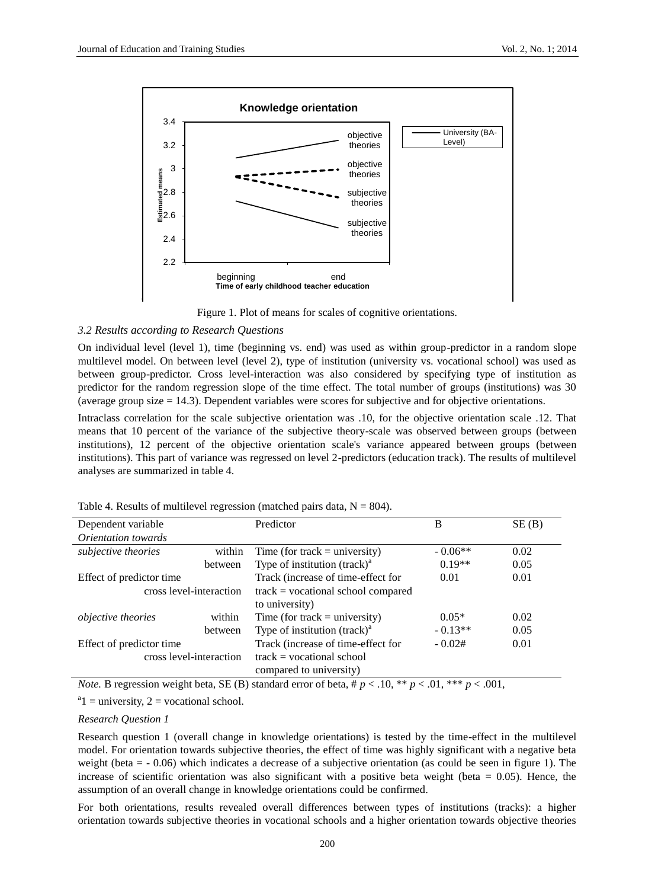

Figure 1. Plot of means for scales of cognitive orientations.

# *3.2 Results according to Research Questions*

On individual level (level 1), time (beginning vs. end) was used as within group-predictor in a random slope multilevel model. On between level (level 2), type of institution (university vs. vocational school) was used as between group-predictor. Cross level-interaction was also considered by specifying type of institution as predictor for the random regression slope of the time effect. The total number of groups (institutions) was 30 (average group size = 14.3). Dependent variables were scores for subjective and for objective orientations.

Intraclass correlation for the scale subjective orientation was .10, for the objective orientation scale .12. That means that 10 percent of the variance of the subjective theory-scale was observed between groups (between institutions), 12 percent of the objective orientation scale's variance appeared between groups (between institutions). This part of variance was regressed on level 2-predictors (education track). The results of multilevel analyses are summarized in table 4.

| Dependent variable         |         | Predictor                              | B                                                                                                             | SE(B) |
|----------------------------|---------|----------------------------------------|---------------------------------------------------------------------------------------------------------------|-------|
| <i>Orientation towards</i> |         |                                        |                                                                                                               |       |
| subjective theories        | within  | Time (for track $=$ university)        | $-0.06**$                                                                                                     | 0.02  |
|                            | between | Type of institution $(rack)^a$         | $0.19**$                                                                                                      | 0.05  |
| Effect of predictor time   |         | Track (increase of time-effect for     | 0.01                                                                                                          | 0.01  |
| cross level-interaction    |         | $track = vocabational school compared$ |                                                                                                               |       |
|                            |         | to university)                         |                                                                                                               |       |
| <i>objective theories</i>  | within  | Time (for track $=$ university)        | $0.05*$                                                                                                       | 0.02  |
|                            | between | Type of institution $(rack)^a$         | $-0.13**$                                                                                                     | 0.05  |
| Effect of predictor time   |         | Track (increase of time-effect for     | $-0.02#$                                                                                                      | 0.01  |
| cross level-interaction    |         | $track = vocational school$            |                                                                                                               |       |
|                            |         | compared to university)                |                                                                                                               |       |
|                            |         |                                        | $\mathcal{L}$ and $\mathcal{L}$ and $\mathcal{L}$ and $\mathcal{L}$ and $\mathcal{L}$<br>$\sim$ $\sim$ $\sim$ |       |

Table 4. Results of multilevel regression (matched pairs data,  $N = 804$ ).

*Note.* B regression weight beta, SE (B) standard error of beta,  $\#p < .10$ ,  $\#p < .01$ ,  $\#p < .001$ ,

 $a_1$  = university, 2 = vocational school.

# *Research Question 1*

Research question 1 (overall change in knowledge orientations) is tested by the time-effect in the multilevel model. For orientation towards subjective theories, the effect of time was highly significant with a negative beta weight (beta = - 0.06) which indicates a decrease of a subjective orientation (as could be seen in figure 1). The increase of scientific orientation was also significant with a positive beta weight (beta  $= 0.05$ ). Hence, the assumption of an overall change in knowledge orientations could be confirmed.

For both orientations, results revealed overall differences between types of institutions (tracks): a higher orientation towards subjective theories in vocational schools and a higher orientation towards objective theories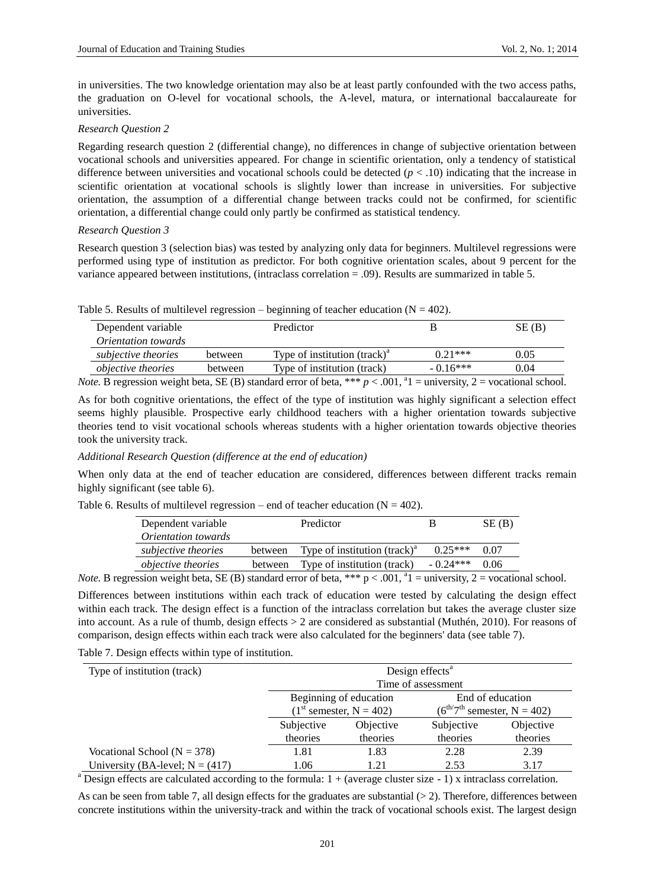in universities. The two knowledge orientation may also be at least partly confounded with the two access paths, the graduation on O-level for vocational schools, the A-level, matura, or international baccalaureate for universities.

## *Research Question 2*

Regarding research question 2 (differential change), no differences in change of subjective orientation between vocational schools and universities appeared. For change in scientific orientation, only a tendency of statistical difference between universities and vocational schools could be detected (*p* < .10) indicating that the increase in scientific orientation at vocational schools is slightly lower than increase in universities. For subjective orientation, the assumption of a differential change between tracks could not be confirmed, for scientific orientation, a differential change could only partly be confirmed as statistical tendency.

#### *Research Question 3*

Research question 3 (selection bias) was tested by analyzing only data for beginners. Multilevel regressions were performed using type of institution as predictor. For both cognitive orientation scales, about 9 percent for the variance appeared between institutions, (intraclass correlation = .09). Results are summarized in table 5.

|  | Table 5. Results of multilevel regression – beginning of teacher education ( $N = 402$ ). |  |  |  |
|--|-------------------------------------------------------------------------------------------|--|--|--|
|  |                                                                                           |  |  |  |

| Dependent variable         |                                                                                                                                                                                                                                                                                                                                    | Predictor                                                                        |            | SE(B) |
|----------------------------|------------------------------------------------------------------------------------------------------------------------------------------------------------------------------------------------------------------------------------------------------------------------------------------------------------------------------------|----------------------------------------------------------------------------------|------------|-------|
| <i>Orientation towards</i> |                                                                                                                                                                                                                                                                                                                                    |                                                                                  |            |       |
| subjective theories        | between                                                                                                                                                                                                                                                                                                                            | Type of institution $(\text{track})^a$                                           | $0.21***$  | 0.05  |
| <i>objective theories</i>  | between                                                                                                                                                                                                                                                                                                                            | Type of institution (track)                                                      | $-0.16***$ | 0.04  |
|                            | $\mathbf{1}$ $\mathbf{1}$ $\mathbf{1}$ $\mathbf{1}$ $\mathbf{1}$ $\mathbf{1}$ $\mathbf{1}$ $\mathbf{1}$ $\mathbf{1}$ $\mathbf{1}$ $\mathbf{1}$ $\mathbf{1}$ $\mathbf{1}$ $\mathbf{1}$ $\mathbf{1}$ $\mathbf{1}$ $\mathbf{1}$ $\mathbf{1}$ $\mathbf{1}$ $\mathbf{1}$ $\mathbf{1}$ $\mathbf{1}$ $\mathbf{1}$ $\mathbf{1}$ $\mathbf{$ | 0.0131<br>$\mathcal{O}$ . The state of $\mathcal{O}$ is a state of $\mathcal{O}$ |            |       |

*Note.* B regression weight beta, SE (B) standard error of beta, \*\*\*  $p < .001$ ,  ${}^{a}1$  = university, 2 = vocational school.

As for both cognitive orientations, the effect of the type of institution was highly significant a selection effect seems highly plausible. Prospective early childhood teachers with a higher orientation towards subjective theories tend to visit vocational schools whereas students with a higher orientation towards objective theories took the university track.

# *Additional Research Question (difference at the end of education)*

When only data at the end of teacher education are considered, differences between different tracks remain highly significant (see table 6).

Table 6. Results of multilevel regression – end of teacher education  $(N = 402)$ .

| Dependent variable         |         | Predictor                                                                                    |            | SE(B) |
|----------------------------|---------|----------------------------------------------------------------------------------------------|------------|-------|
| <i>Orientation towards</i> |         |                                                                                              |            |       |
| subjective theories        | between | Type of institution $(\text{track})^a$                                                       | $0.25***$  | 0.07  |
| <i>objective theories</i>  | between | Type of institution (track)                                                                  | $-0.24***$ | 0.06  |
|                            |         | للواقع متنادين المستحدث والمتحدث والمستحدث والمستحدث والمستحدث والمستحدث والمستحدث والمستحدث | .          |       |

*Note.* B regression weight beta, SE (B) standard error of beta, \*\*\*  $p < .001$ ,  $a_1$  = university, 2 = vocational school.

Differences between institutions within each track of education were tested by calculating the design effect within each track. The design effect is a function of the intraclass correlation but takes the average cluster size into account. As a rule of thumb, design effects > 2 are considered as substantial (Muthén, 2010). For reasons of comparison, design effects within each track were also calculated for the beginners' data (see table 7).

Table 7. Design effects within type of institution.

| Type of institution (track)         | Design effects <sup>a</sup><br>Time of assessment                                                               |      |           |      |  |
|-------------------------------------|-----------------------------------------------------------------------------------------------------------------|------|-----------|------|--|
|                                     | Beginning of education<br>End of education<br>$(6^{th/7^{th}})$ semester, N = 402)<br>$(1st$ semester, N = 402) |      |           |      |  |
|                                     | Subjective<br>Subjective<br><i><b>Objective</b></i>                                                             |      | Objective |      |  |
|                                     | theories<br>theories<br>theories                                                                                |      | theories  |      |  |
| Vocational School ( $N = 378$ )     | 1.81                                                                                                            | 1.83 | 2.28      | 2.39 |  |
| University (BA-level; $N = (417)$ ) | 1.06                                                                                                            | 1.21 | 2.53      | 3.17 |  |

<sup>a</sup> Design effects are calculated according to the formula:  $1 + (average cluster size - 1)$  x intraclass correlation.

As can be seen from table 7, all design effects for the graduates are substantial  $(> 2)$ . Therefore, differences between concrete institutions within the university-track and within the track of vocational schools exist. The largest design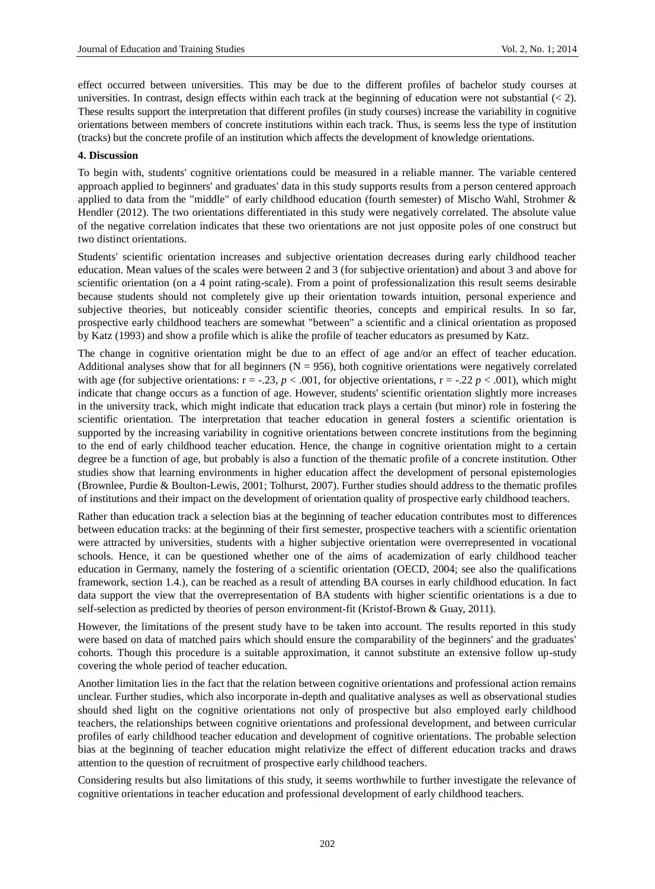effect occurred between universities. This may be due to the different profiles of bachelor study courses at universities. In contrast, design effects within each track at the beginning of education were not substantial  $\leq 2$ ). These results support the interpretation that different profiles (in study courses) increase the variability in cognitive orientations between members of concrete institutions within each track. Thus, is seems less the type of institution (tracks) but the concrete profile of an institution which affects the development of knowledge orientations.

#### **4. Discussion**

To begin with, students' cognitive orientations could be measured in a reliable manner. The variable centered approach applied to beginners' and graduates' data in this study supports results from a person centered approach applied to data from the "middle" of early childhood education (fourth semester) of Mischo Wahl, Strohmer & Hendler (2012). The two orientations differentiated in this study were negatively correlated. The absolute value of the negative correlation indicates that these two orientations are not just opposite poles of one construct but two distinct orientations.

Students' scientific orientation increases and subjective orientation decreases during early childhood teacher education. Mean values of the scales were between 2 and 3 (for subjective orientation) and about 3 and above for scientific orientation (on a 4 point rating-scale). From a point of professionalization this result seems desirable because students should not completely give up their orientation towards intuition, personal experience and subjective theories, but noticeably consider scientific theories, concepts and empirical results. In so far, prospective early childhood teachers are somewhat "between" a scientific and a clinical orientation as proposed by Katz (1993) and show a profile which is alike the profile of teacher educators as presumed by Katz.

The change in cognitive orientation might be due to an effect of age and/or an effect of teacher education. Additional analyses show that for all beginners ( $N = 956$ ), both cognitive orientations were negatively correlated with age (for subjective orientations:  $r = -0.23$ ,  $p < 0.001$ , for objective orientations,  $r = -0.22$ ,  $p < 0.001$ ), which might indicate that change occurs as a function of age. However, students' scientific orientation slightly more increases in the university track, which might indicate that education track plays a certain (but minor) role in fostering the scientific orientation. The interpretation that teacher education in general fosters a scientific orientation is supported by the increasing variability in cognitive orientations between concrete institutions from the beginning to the end of early childhood teacher education. Hence, the change in cognitive orientation might to a certain degree be a function of age, but probably is also a function of the thematic profile of a concrete institution. Other studies show that learning environments in higher education affect the development of personal epistemologies (Brownlee, Purdie & Boulton-Lewis, 2001; Tolhurst, 2007). Further studies should address to the thematic profiles of institutions and their impact on the development of orientation quality of prospective early childhood teachers.

Rather than education track a selection bias at the beginning of teacher education contributes most to differences between education tracks: at the beginning of their first semester, prospective teachers with a scientific orientation were attracted by universities, students with a higher subjective orientation were overrepresented in vocational schools. Hence, it can be questioned whether one of the aims of academization of early childhood teacher education in Germany, namely the fostering of a scientific orientation (OECD, 2004; see also the qualifications framework, section 1.4.), can be reached as a result of attending BA courses in early childhood education. In fact data support the view that the overrepresentation of BA students with higher scientific orientations is a due to self-selection as predicted by theories of person environment-fit (Kristof-Brown & Guay, 2011).

However, the limitations of the present study have to be taken into account. The results reported in this study were based on data of matched pairs which should ensure the comparability of the beginners' and the graduates' cohorts. Though this procedure is a suitable approximation, it cannot substitute an extensive follow up-study covering the whole period of teacher education.

Another limitation lies in the fact that the relation between cognitive orientations and professional action remains unclear. Further studies, which also incorporate in-depth and qualitative analyses as well as observational studies should shed light on the cognitive orientations not only of prospective but also employed early childhood teachers, the relationships between cognitive orientations and professional development, and between curricular profiles of early childhood teacher education and development of cognitive orientations. The probable selection bias at the beginning of teacher education might relativize the effect of different education tracks and draws attention to the question of recruitment of prospective early childhood teachers.

Considering results but also limitations of this study, it seems worthwhile to further investigate the relevance of cognitive orientations in teacher education and professional development of early childhood teachers.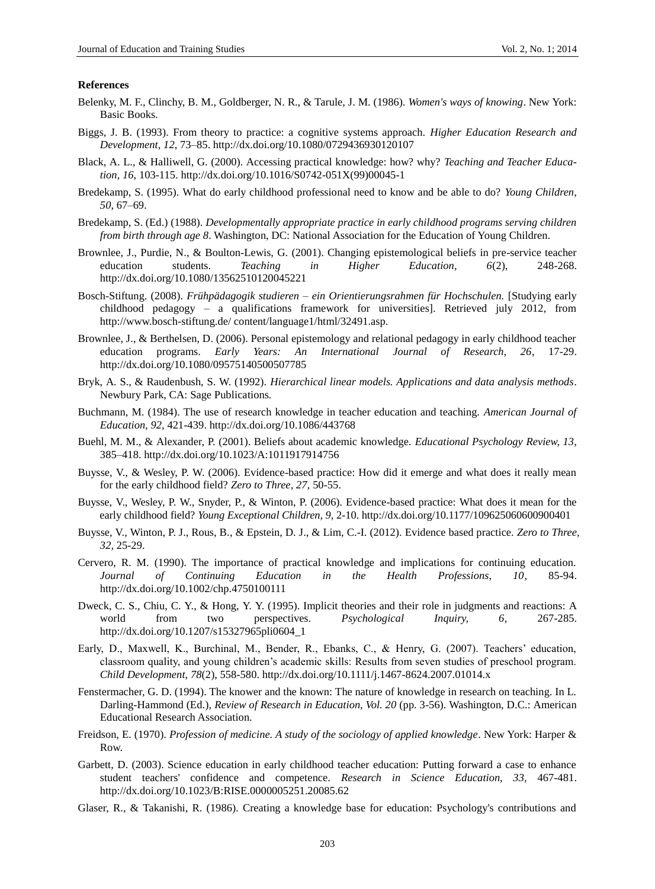#### **References**

- Belenky, M. F., Clinchy, B. M., Goldberger, N. R., & Tarule, J. M. (1986). *Women's ways of knowing*. New York: Basic Books.
- Biggs, J. B. (1993). From theory to practice: a cognitive systems approach. *Higher Education Research and Development, 12*, 73–85. http://dx.doi.org/10.1080/0729436930120107
- Black, A. L., & Halliwell, G. (2000). Accessing practical knowledge: how? why? *Teaching and Teacher Education, 16*, 103-115. http://dx.doi.org/10.1016/S0742-051X(99)00045-1
- Bredekamp, S. (1995). What do early childhood professional need to know and be able to do? *Young Children, 50*, 67–69.
- Bredekamp, S. (Ed.) (1988). *Developmentally appropriate practice in early childhood programs serving children from birth through age 8*. Washington, DC: National Association for the Education of Young Children.
- Brownlee, J., Purdie, N., & Boulton-Lewis, G. (2001). Changing epistemological beliefs in pre-service teacher education students. *Teaching in Higher Education, 6*(2), 248-268. http://dx.doi.org/10.1080/13562510120045221
- Bosch-Stiftung. (2008). *Frühpädagogik studieren – ein Orientierungsrahmen für Hochschulen.* [Studying early childhood pedagogy – a qualifications framework for universities]. Retrieved july 2012, from http://www.bosch-stiftung.de/ content/language1/html/32491.asp.
- Brownlee, J., & Berthelsen, D. (2006). Personal epistemology and relational pedagogy in early childhood teacher education programs. *Early Years: An International Journal of Research, 26*, 17-29. http://dx.doi.org/10.1080/09575140500507785
- Bryk, A. S., & Raudenbush, S. W. (1992). *Hierarchical linear models. Applications and data analysis methods*. Newbury Park, CA: Sage Publications.
- Buchmann, M. (1984). The use of research knowledge in teacher education and teaching. *American Journal of Education, 92,* 421-439. http://dx.doi.org/10.1086/443768
- Buehl, M. M., & Alexander, P. (2001). Beliefs about academic knowledge. *Educational Psychology Review, 13,* 385–418. http://dx.doi.org/10.1023/A:1011917914756
- Buysse, V., & Wesley, P. W. (2006). Evidence-based practice: How did it emerge and what does it really mean for the early childhood field? *Zero to Three, 27,* 50-55.
- Buysse, V., Wesley, P. W., Snyder, P., & Winton, P. (2006). Evidence-based practice: What does it mean for the early childhood field? *Young Exceptional Children, 9,* 2-10. http://dx.doi.org/10.1177/109625060600900401
- Buysse, V., Winton, P. J., Rous, B., & Epstein, D. J., & Lim, C.-I. (2012). Evidence based practice. *Zero to Three, 32,* 25-29.
- Cervero, R. M. (1990). The importance of practical knowledge and implications for continuing education. *Journal of Continuing Education in the Health Professions, 10*, 85-94. http://dx.doi.org/10.1002/chp.4750100111
- Dweck, C. S., Chiu, C. Y., & Hong, Y. Y. (1995). Implicit theories and their role in judgments and reactions: A world from two perspectives. *Psychological Inquiry, 6*, 267-285. http://dx.doi.org/10.1207/s15327965pli0604\_1
- Early, D., Maxwell, K., Burchinal, M., Bender, R., Ebanks, C., & Henry, G. (2007). Teachers' education, classroom quality, and young children's academic skills: Results from seven studies of preschool program. *Child Development, 78*(2), 558-580. http://dx.doi.org/10.1111/j.1467-8624.2007.01014.x
- Fenstermacher, G. D. (1994). The knower and the known: The nature of knowledge in research on teaching. In L. Darling-Hammond (Ed.), *Review of Research in Education, Vol. 20* (pp. 3-56). Washington, D.C.: American Educational Research Association.
- Freidson, E. (1970). *Profession of medicine. A study of the sociology of applied knowledge*. New York: Harper & Row.
- Garbett, D. (2003). Science education in early childhood teacher education: Putting forward a case to enhance student teachers' confidence and competence. *Research in Science Education, 33,* 467-481. http://dx.doi.org/10.1023/B:RISE.0000005251.20085.62
- Glaser, R., & Takanishi, R. (1986). Creating a knowledge base for education: Psychology's contributions and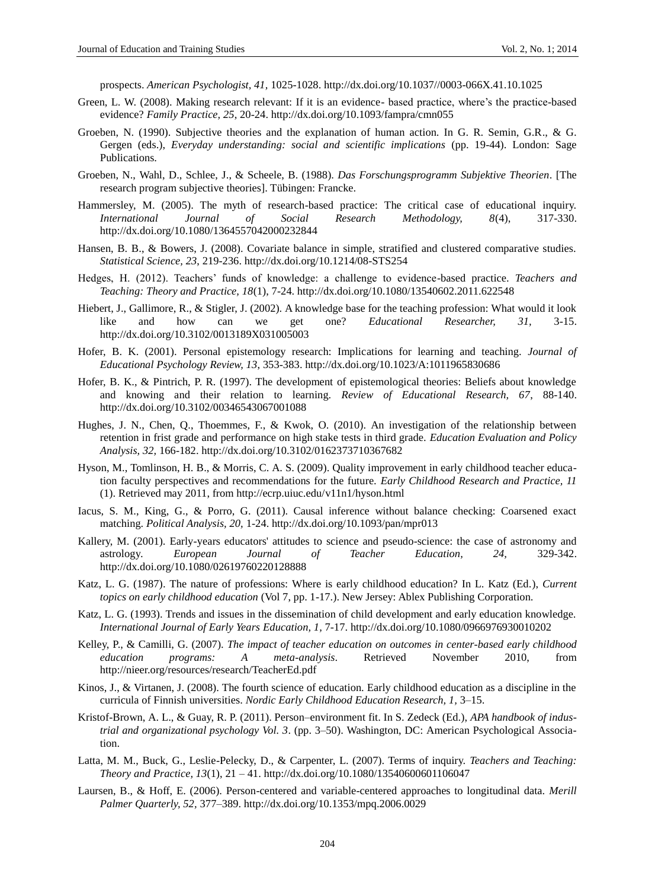prospects. *American Psychologist, 41,* 1025-1028. http://dx.doi.org/10.1037//0003-066X.41.10.1025

- Green, L. W. (2008). Making research relevant: If it is an evidence- based practice, where's the practice-based evidence? *Family Practice, 25*, 20-24. http://dx.doi.org/10.1093/fampra/cmn055
- Groeben, N. (1990). Subjective theories and the explanation of human action. In G. R. Semin, G.R., & G. Gergen (eds.), *Everyday understanding: social and scientific implications* (pp. 19-44). London: Sage Publications.
- Groeben, N., Wahl, D., Schlee, J., & Scheele, B. (1988). *Das Forschungsprogramm Subjektive Theorien*. [The research program subjective theories]. Tübingen: Francke.
- Hammersley, M. (2005). The myth of research-based practice: The critical case of educational inquiry. *International Journal of Social Research Methodology, 8*(4), 317-330. http://dx.doi.org/10.1080/1364557042000232844
- Hansen, B. B., & Bowers, J. (2008). Covariate balance in simple, stratified and clustered comparative studies. *Statistical Science, 23*, 219-236. http://dx.doi.org/10.1214/08-STS254
- Hedges, H. (2012). Teachers' funds of knowledge: a challenge to evidence-based practice. *Teachers and Teaching: Theory and Practice, 18*(1), 7-24. http://dx.doi.org/10.1080/13540602.2011.622548
- Hiebert, J., Gallimore, R., & Stigler, J. (2002). A knowledge base for the teaching profession: What would it look like and how can we get one? *Educational Researcher, 31,* 3-15. http://dx.doi.org/10.3102/0013189X031005003
- Hofer, B. K. (2001). Personal epistemology research: Implications for learning and teaching. *Journal of Educational Psychology Review, 13*, 353-383. http://dx.doi.org/10.1023/A:1011965830686
- Hofer, B. K., & Pintrich, P. R. (1997). The development of epistemological theories: Beliefs about knowledge and knowing and their relation to learning. *Review of Educational Research, 67*, 88-140. http://dx.doi.org/10.3102/00346543067001088
- Hughes, J. N., Chen, Q., Thoemmes, F., & Kwok, O. (2010). An investigation of the relationship between retention in frist grade and performance on high stake tests in third grade. *Education Evaluation and Policy Analysis, 32,* 166-182. http://dx.doi.org/10.3102/0162373710367682
- Hyson, M., Tomlinson, H. B., & Morris, C. A. S. (2009). Quality improvement in early childhood teacher education faculty perspectives and recommendations for the future. *Early Childhood Research and Practice, 11* (1). Retrieved may 2011, from http://ecrp.uiuc.edu/v11n1/hyson.html
- Iacus, S. M., King, G., & Porro, G. (2011). Causal inference without balance checking: Coarsened exact matching. *Political Analysis, 20,* 1-24. http://dx.doi.org/10.1093/pan/mpr013
- Kallery, M. (2001). Early-years educators' attitudes to science and pseudo-science: the case of astronomy and astrology*. European Journal of Teacher Education, 24,* 329-342. http://dx.doi.org/10.1080/02619760220128888
- Katz, L. G. (1987). The nature of professions: Where is early childhood education? In L. Katz (Ed.), *Current topics on early childhood education* (Vol 7, pp. 1-17.). New Jersey: Ablex Publishing Corporation.
- Katz, L. G. (1993). Trends and issues in the dissemination of child development and early education knowledge. *International Journal of Early Years Education, 1,* 7-17. http://dx.doi.org/10.1080/0966976930010202
- Kelley, P., & Camilli, G. (2007). *The impact of teacher education on outcomes in center-based early childhood education programs: A meta-analysis*. Retrieved November 2010, from [http://nieer.org/resources/research/T](http://nieer.org/resources/research/)eacherEd.pdf
- Kinos, J., & Virtanen, J. (2008). The fourth science of education. Early childhood education as a discipline in the curricula of Finnish universities. *Nordic Early Childhood Education Research, 1,* 3–15.
- Kristof-Brown, A. L., & Guay, R. P. (2011). Person–environment fit. In S. Zedeck (Ed.), *APA handbook of industrial and organizational psychology Vol. 3*. (pp. 3–50). Washington, DC: American Psychological Association.
- Latta, M. M., Buck, G., Leslie-Pelecky, D., & Carpenter, L. (2007). Terms of inquiry. *Teachers and Teaching: Theory and Practice, 13*(1), 21 – 41. http://dx.doi.org/10.1080/13540600601106047
- Laursen, B., & Hoff, E. (2006). Person-centered and variable-centered approaches to longitudinal data. *Merill Palmer Quarterly, 52,* 377–389. http://dx.doi.org/10.1353/mpq.2006.0029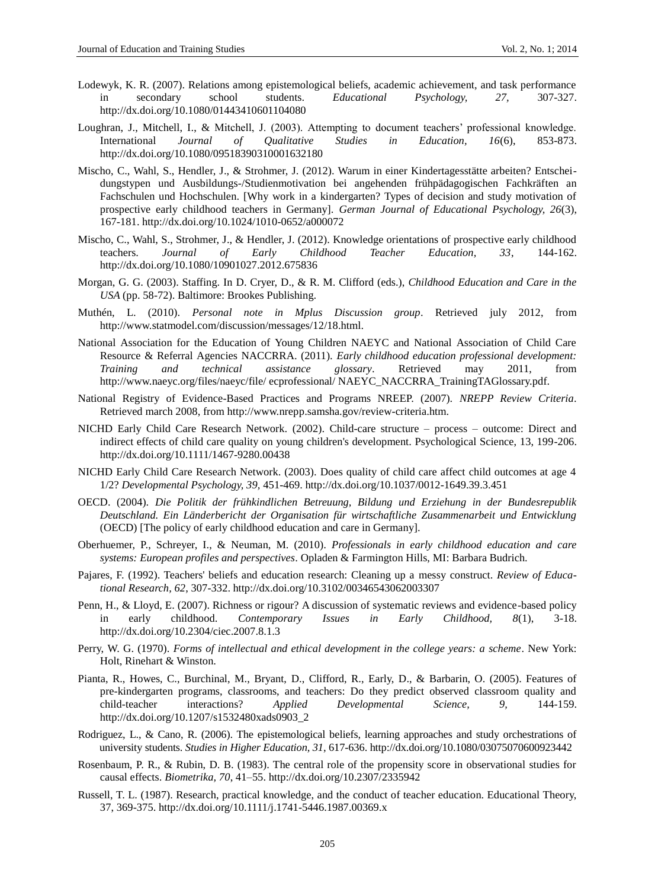- Lodewyk, K. R. (2007). Relations among epistemological beliefs, academic achievement, and task performance in secondary school students. *Educational Psychology, 27,* 307-327. http://dx.doi.org/10.1080/01443410601104080
- Loughran, J., Mitchell, I., & Mitchell, J. (2003). Attempting to document teachers' professional knowledge. International *Journal of Qualitative Studies in Education, 16*(6), 853-873. http://dx.doi.org/10.1080/09518390310001632180
- Mischo, C., Wahl, S., Hendler, J., & Strohmer, J. (2012). Warum in einer Kindertagesstätte arbeiten? Entscheidungstypen und Ausbildungs-/Studienmotivation bei angehenden frühpädagogischen Fachkräften an Fachschulen und Hochschulen. [Why work in a kindergarten? Types of decision and study motivation of prospective early childhood teachers in Germany]. *German Journal of Educational Psychology, 26*(3), 167-181. http://dx.doi.org/10.1024/1010-0652/a000072
- Mischo, C., Wahl, S., Strohmer, J., & Hendler, J. (2012). Knowledge orientations of prospective early childhood teachers. *Journal of Early Childhood Teacher Education, 33*, 144-162. http://dx.doi.org/10.1080/10901027.2012.675836
- Morgan, G. G. (2003). Staffing. In D. Cryer, D., & R. M. Clifford (eds.), *Childhood Education and Care in the USA* (pp. 58-72). Baltimore: Brookes Publishing.
- Muthén, L. (2010). *Personal note in Mplus Discussion group*. Retrieved july 2012, from http://www.statmodel.com/discussion/messages/12/18.html.
- National Association for the Education of Young Children NAEYC and National Association of Child Care Resource & Referral Agencies NACCRRA. (2011). *Early childhood education professional development: Training and technical assistance glossary*. Retrieved may 2011, from http://www.naeyc.org/files/naeyc/file/ ecprofessional/ NAEYC\_NACCRRA\_TrainingTAGlossary.pdf.
- National Registry of Evidence-Based Practices and Programs NREEP. (2007). *NREPP Review Criteria*. Retrieved march 2008, from http://www.nrepp.samsha.gov/review-criteria.htm.
- NICHD Early Child Care Research Network. (2002). Child-care structure process outcome: Direct and indirect effects of child care quality on young children's development. Psychological Science, 13, 199-206. http://dx.doi.org/10.1111/1467-9280.00438
- NICHD Early Child Care Research Network. (2003). Does quality of child care affect child outcomes at age 4 1/2? *Developmental Psychology, 39,* 451-469. http://dx.doi.org/10.1037/0012-1649.39.3.451
- OECD. (2004). *Die Politik der frühkindlichen Betreuung, Bildung und Erziehung in der Bundesrepublik Deutschland. Ein Länderbericht der Organisation für wirtschaftliche Zusammenarbeit und Entwicklung* (OECD) [The policy of early childhood education and care in Germany].
- Oberhuemer, P., Schreyer, I., & Neuman, M. (2010). *Professionals in early childhood education and care systems: European profiles and perspectives*. Opladen & Farmington Hills, MI: Barbara Budrich.
- Pajares, F. (1992). Teachers' beliefs and education research: Cleaning up a messy construct. *Review of Educational Research, 62*, 307-332. http://dx.doi.org/10.3102/00346543062003307
- Penn, H., & Lloyd, E. (2007). Richness or rigour? A discussion of systematic reviews and evidence-based policy in early childhood. *Contemporary Issues in Early Childhood, 8*(1), 3-18. http://dx.doi.org/10.2304/ciec.2007.8.1.3
- Perry, W. G. (1970). *Forms of intellectual and ethical development in the college years: a scheme*. New York: Holt, Rinehart & Winston.
- Pianta, R., Howes, C., Burchinal, M., Bryant, D., Clifford, R., Early, D., & Barbarin, O. (2005). Features of pre-kindergarten programs, classrooms, and teachers: Do they predict observed classroom quality and child-teacher interactions? *Applied Developmental Science, 9,* 144-159. http://dx.doi.org/10.1207/s1532480xads0903\_2
- Rodriguez, L., & Cano, R. (2006). The epistemological beliefs, learning approaches and study orchestrations of university students. *Studies in Higher Education, 31*, 617-636. http://dx.doi.org/10.1080/03075070600923442
- Rosenbaum, P. R., & Rubin, D. B. (1983). The central role of the propensity score in observational studies for causal effects. *Biometrika, 70*, 41–55. http://dx.doi.org/10.2307/2335942
- Russell, T. L. (1987). Research, practical knowledge, and the conduct of teacher education. Educational Theory, 37, 369-375. http://dx.doi.org/10.1111/j.1741-5446.1987.00369.x